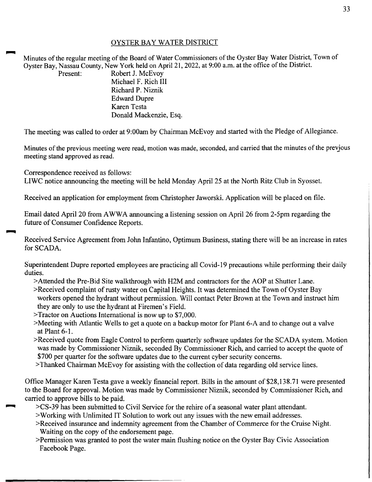## OYSTER BAY WATER DISTRICT

Minutes of the regular meeting of the Board of Water Commissioners of the Oyster Bay Water District, Town of Oyster Bay, Nassau County, New York held on April 21, 2022, at 9:00 a.m. at the office of the District.

Present: Robert J. McEvov Michael F. Rich III Richard P. Niznik Edward Dupre Karen Testa Donald Mackenzie, Esq.

The meeting was called to order at 9:00am by Chairman McEvoy and started with the Pledge of Allegiance.

Minutes of the previous meeting were read, motion was made, seconded, and carried that the minutes of the prevjous meeting stand approved as read.

Correspondence received as follows:

LIWC notice announcing the meeting will be held Monday April 25 at the North Ritz Club in Syosset.

Received an application for employment from Christopher Jaworski. Application will be placed on file.

Email dated April 20 from A WWA announcing a listening session on April 26 from 2-5pm regarding the future of Consumer Confidence Reports.

Received Service Agreement from John Infantino, Optimum Business, stating there will be an increase in rates for SCADA.

Superintendent Dupre reported employees are practicing all Covid-19 precautions while performing their daily duties.

- >Attended the Pre-Bid Site walkthrough with H2M and contractors for the AOP at Shutter Lane.
- >Received complaint of rusty water on Capital Heights. It was determined the Town of Oyster Bay workers opened the hydrant without permission. Will contact Peter Brown at the Town and instruct him they are only to use the hydrant at Firemen's Field.
- >Tractor on Auctions International is now up to \$7,000.
- >Meeting with Atlantic Wells to get a quote on a backup motor for Plant 6-A and to change out a valve at Plant 6-1.
- >Received quote from Eagle Control to perform quarterly software updates for the SCADA system. Motion was made by Commissioner Niznik, seconded By Commissioner Rich, and carried to accept the quote of \$700 per quarter for the software updates due to the current cyber security concerns.
- >Thanked Chairman McEvoy for assisting with the collection of data regarding old service lines.

Office Manager Karen Testa gave a weekly financial report. Bills in the amount of \$28,138.71 were presented to the Board for approval. Motion was made by Commissioner Niznik, seconded by Commissioner Rich, and carried to approve bills to be paid.

- ~ >CS-39 has been submitted to Civil Service for the rehire of a seasonal water plant attendant.
- >Working with Unlimited IT Solution to work out any issues with the new email addresses.
- >Received insurance and indemnity agreement from the Chamber of Commerce for the Cruise Night. Waiting on the copy of the endorsement page.
- >Permission was granted to post the water main flushing notice on the Oyster Bay Civic Association Facebook Page.